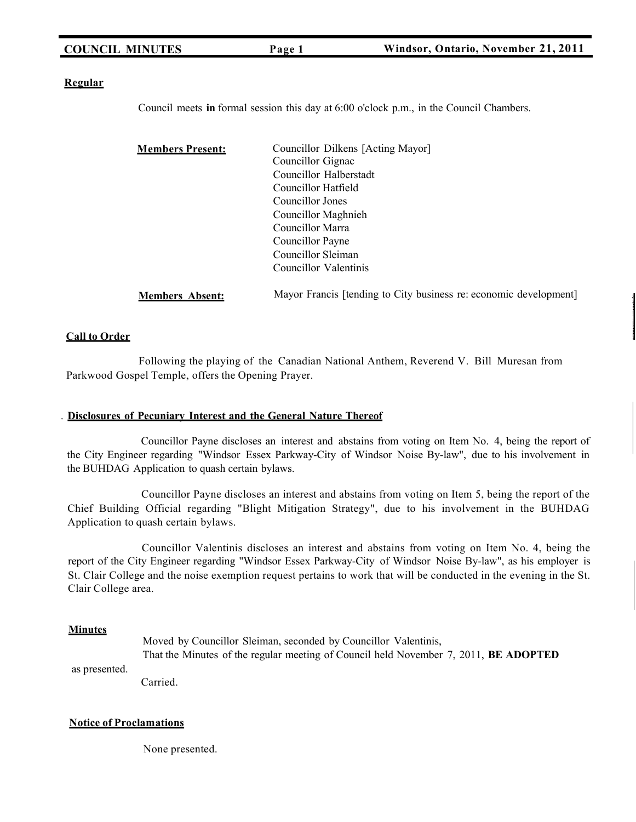| <b>COUNCIL MINUTES</b> |  |
|------------------------|--|
|------------------------|--|

#### **Regular**

Council meets **in** formal session this day at 6:00 o'clock p.m., in the Council Chambers.

| <u>Members Present:</u> | Councillor Dilkens [Acting Mayor] |
|-------------------------|-----------------------------------|
|                         | Councillor Gignac                 |
|                         | Councillor Halberstadt            |
|                         | Councillor Hatfield               |
|                         | Councillor Jones                  |
|                         | Councillor Maghnieh               |
|                         | Councillor Marra                  |
|                         | Councillor Payne                  |
|                         | Councillor Sleiman                |
|                         | Councillor Valentinis             |
|                         |                                   |

**Members Absent:** Mayor Francis [tending to City business re: economic development]

#### **Call to Order**

Following the playing of the Canadian National Anthem, Reverend V. Bill Muresan from Parkwood Gospel Temple, offers the Opening Prayer.

#### . **Disclosures of Pecuniary Interest and the General Nature Thereof**

Councillor Payne discloses an interest and abstains from voting on Item No. 4, being the report of the City Engineer regarding "Windsor Essex Parkway-City of Windsor Noise By-law", due to his involvement in the BUHDAG Application to quash certain bylaws.

Councillor Payne discloses an interest and abstains from voting on Item 5, being the report of the Chief Building Official regarding "Blight Mitigation Strategy", due to his involvement in the BUHDAG Application to quash certain bylaws.

Councillor Valentinis discloses an interest and abstains from voting on Item No. 4, being the report of the City Engineer regarding "Windsor Essex Parkway-City of Windsor Noise By-law", as his employer is St. Clair College and the noise exemption request pertains to work that will be conducted in the evening in the St. Clair College area.

#### **Minutes**

as presented.

Moved by Councillor Sleiman, seconded by Councillor Valentinis, That the Minutes of the regular meeting of Council held November 7, 2011, **BE ADOPTED**

Carried.

# **Notice of Proclamations**

None presented.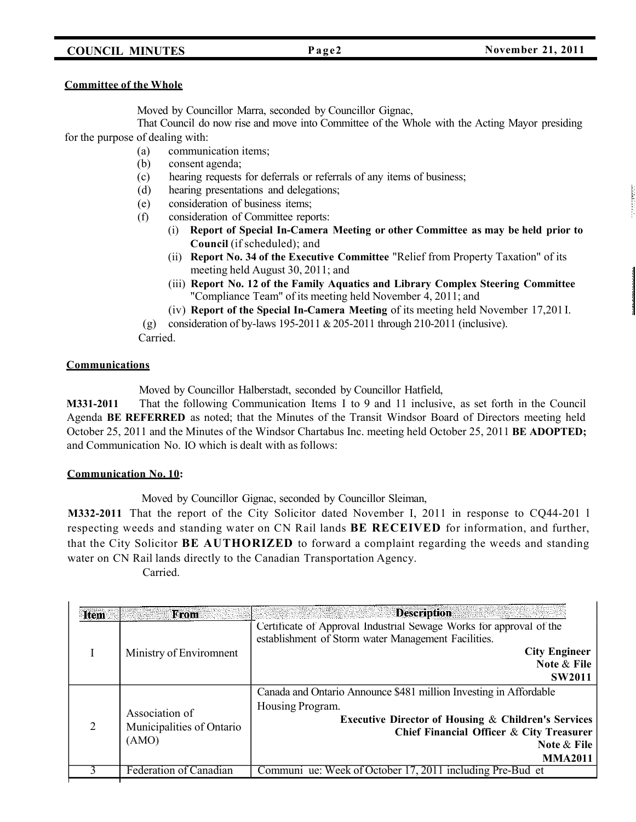### **COUNCIL MINUTES Page2 November 21, 2011**

#### **Committee of the Whole**

Moved by Councillor Marra, seconded by Councillor Gignac,

That Council do now rise and move into Committee of the Whole with the Acting Mayor presiding for the purpose of dealing with:

- (a) communication items;
- (b) consent agenda;
- (c) hearing requests for deferrals or referrals of any items of business;
- (d) hearing presentations and delegations;
- (e) consideration of business items;
- (f) consideration of Committee reports:
	- (i) **Report of Special In-Camera Meeting or other Committee as may be held prior to Council** (if scheduled); and
	- (ii) **Report No. 34 of the Executive Committee** "Relief from Property Taxation" of its meeting held August 30, 2011; and
	- (iii) **Report No. 12 of the Family Aquatics and Library Complex Steering Committee** "Compliance Team" of its meeting held November 4, 2011; and

(iv) **Report of the Special In-Camera Meeting** of its meeting held November 17,201 I.

(g) consideration of by-laws  $195-2011 \& 205-2011$  through  $210-2011$  (inclusive).

Carried.

#### **Communications**

Moved by Councillor Halberstadt, seconded by Councillor Hatfield,

**M331-2011** That the following Communication Items I to 9 and 11 inclusive, as set forth in the Council Agenda **BE REFERRED** as noted; that the Minutes of the Transit Windsor Board of Directors meeting held October 25, 2011 and the Minutes of the Windsor Chartabus Inc. meeting held October 25, 2011 **BE ADOPTED;** and Communication No. IO which is dealt with as follows:

#### **Communication No. 10:**

Moved by Councillor Gignac, seconded by Councillor Sleiman,

**M332-2011** That the report of the City Solicitor dated November I, 2011 in response to CQ44-201 l respecting weeds and standing water on CN Rail lands **BE RECEIVED** for information, and further, that the City Solicitor **BE AUTHORIZED** to forward a complaint regarding the weeds and standing water on CN Rail lands directly to the Canadian Transportation Agency.

| <b>Item</b> | From                                                 | <b>Description</b><br>en del comercio                                                                                                                                                                                                |
|-------------|------------------------------------------------------|--------------------------------------------------------------------------------------------------------------------------------------------------------------------------------------------------------------------------------------|
|             | Ministry of Environment                              | Certificate of Approval Industrial Sewage Works for approval of the<br>establishment of Storm water Management Facilities.<br><b>City Engineer</b><br>Note & File<br><b>SW2011</b>                                                   |
| 2           | Association of<br>Municipalities of Ontario<br>(AMO) | Canada and Ontario Announce \$481 million Investing in Affordable<br>Housing Program.<br><b>Executive Director of Housing &amp; Children's Services</b><br>Chief Financial Officer & City Treasurer<br>Note & File<br><b>MMA2011</b> |
|             | Federation of Canadian                               | Communi ue: Week of October 17, 2011 including Pre-Bud et                                                                                                                                                                            |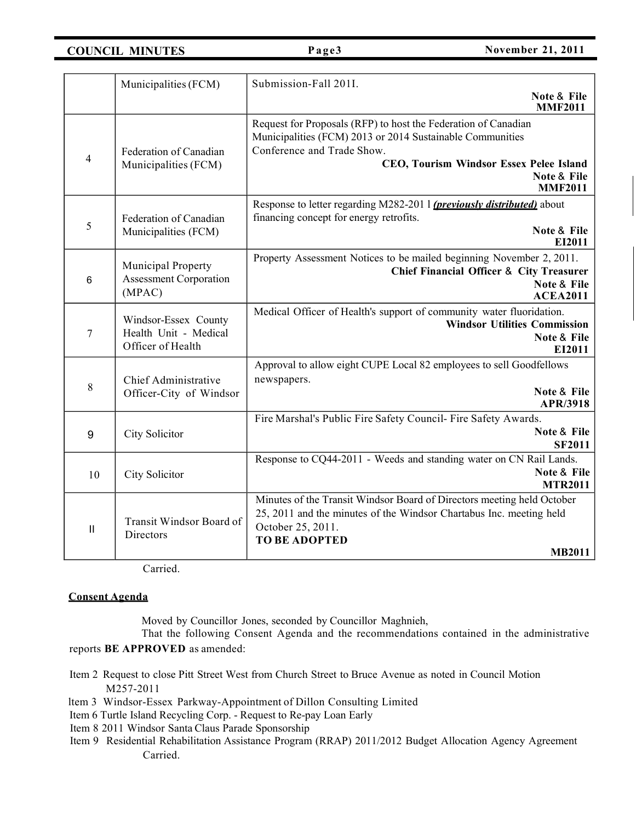**COUNCIL MINUTES Page3 November 21, 2011** 

|                | Municipalities (FCM)                                               | Submission-Fall 201I.                                                                                                                                                                                                                 |
|----------------|--------------------------------------------------------------------|---------------------------------------------------------------------------------------------------------------------------------------------------------------------------------------------------------------------------------------|
|                |                                                                    | Note & File<br><b>MMF2011</b>                                                                                                                                                                                                         |
| $\overline{4}$ | Federation of Canadian<br>Municipalities (FCM)                     | Request for Proposals (RFP) to host the Federation of Canadian<br>Municipalities (FCM) 2013 or 2014 Sustainable Communities<br>Conference and Trade Show.<br>CEO, Tourism Windsor Essex Pelee Island<br>Note & File<br><b>MMF2011</b> |
| 5              | Federation of Canadian<br>Municipalities (FCM)                     | Response to letter regarding M282-201 1 (previously distributed) about<br>financing concept for energy retrofits.<br>Note & File<br>EI2011                                                                                            |
| 6              | Municipal Property<br><b>Assessment Corporation</b><br>(MPAC)      | Property Assessment Notices to be mailed beginning November 2, 2011.<br><b>Chief Financial Officer &amp; City Treasurer</b><br>Note & File<br><b>ACEA2011</b>                                                                         |
| $\overline{7}$ | Windsor-Essex County<br>Health Unit - Medical<br>Officer of Health | Medical Officer of Health's support of community water fluoridation.<br><b>Windsor Utilities Commission</b><br>Note & File<br>EI2011                                                                                                  |
| 8              | Chief Administrative<br>Officer-City of Windsor                    | Approval to allow eight CUPE Local 82 employees to sell Goodfellows<br>newspapers.<br>Note & File<br>APR/3918                                                                                                                         |
| 9              | City Solicitor                                                     | Fire Marshal's Public Fire Safety Council- Fire Safety Awards.<br>Note & File<br><b>SF2011</b>                                                                                                                                        |
| 10             | City Solicitor                                                     | Response to CQ44-2011 - Weeds and standing water on CN Rail Lands.<br>Note & File<br><b>MTR2011</b>                                                                                                                                   |
| $\mathbf{H}$   | Transit Windsor Board of<br>Directors                              | Minutes of the Transit Windsor Board of Directors meeting held October<br>25, 2011 and the minutes of the Windsor Chartabus Inc. meeting held<br>October 25, 2011.<br><b>TO BE ADOPTED</b><br><b>MB2011</b>                           |

Carried.

#### **Consent Agenda**

Moved by Councillor Jones, seconded by Councillor Maghnieh,

That the following Consent Agenda and the recommendations contained in the administrative

reports **BE APPROVED** as amended:

- Item 2 Request to close Pitt Street West from Church Street to Bruce Avenue as noted in Council Motion M257-2011
- ltem 3 Windsor-Essex Parkway-Appointment of Dillon Consulting Limited
- Item 6 Turtle Island Recycling Corp. Request to Re-pay Loan Early
- Item 8 2011 Windsor Santa Claus Parade Sponsorship
- Item 9 Residential Rehabilitation Assistance Program (RRAP) 2011/2012 Budget Allocation Agency Agreement Carried.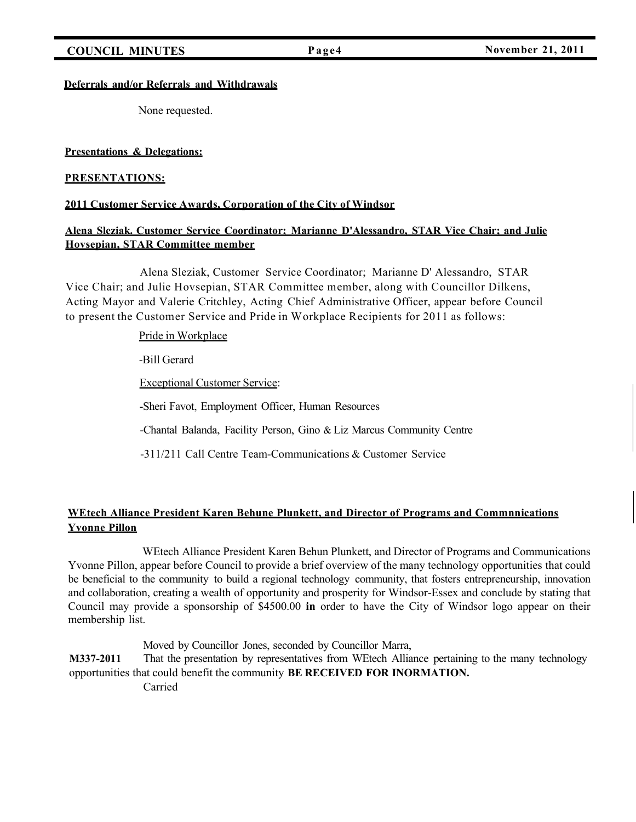**COUNCIL MINUTES Page4 November 21, 2011** 

#### **Deferrals and/or Referrals and Withdrawals**

None requested.

#### **Presentations & Delegations:**

#### **PRESENTATIONS:**

#### **2011 Customer Service Awards, Corporation of the City of Windsor**

### **Alena Sleziak. Customer Service Coordinator; Marianne D'Alessandro, STAR Vice Chair; and Julie Hovsepian, STAR Committee member**

Alena Sleziak, Customer Service Coordinator; Marianne D' Alessandro, STAR Vice Chair; and Julie Hovsepian, STAR Committee member, along with Councillor Dilkens, Acting Mayor and Valerie Critchley, Acting Chief Administrative Officer, appear before Council to present the Customer Service and Pride in Workplace Recipients for 2011 as follows:

Pride in Workplace

-Bill Gerard

Exceptional Customer Service:

-Sheri Favot, Employment Officer, Human Resources

-Chantal Balanda, Facility Person, Gino & Liz Marcus Community Centre

-311/211 Call Centre Team-Communications & Customer Service

### **WEtech Alliance President Karen Behune Plunkett, and Director of Programs and Commnnications Yvonne Pillon**

WEtech Alliance President Karen Behun Plunkett, and Director of Programs and Communications Yvonne Pillon, appear before Council to provide a brief overview of the many technology opportunities that could be beneficial to the community to build a regional technology community, that fosters entrepreneurship, innovation and collaboration, creating a wealth of opportunity and prosperity for Windsor-Essex and conclude by stating that Council may provide a sponsorship of \$4500.00 **in** order to have the City of Windsor logo appear on their membership list.

Moved by Councillor Jones, seconded by Councillor Marra, **M337-2011** That the presentation by representatives from WEtech Alliance pertaining to the many technology opportunities that could benefit the community **BE RECEIVED FOR INORMATION.** Carried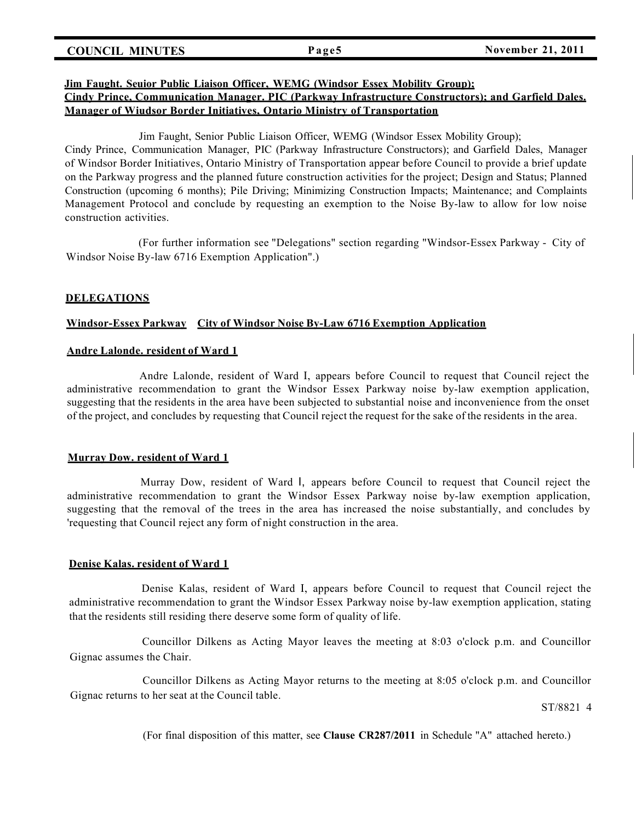#### **COUNCIL MINUTES Page5 November 21, 2011**

#### **Jim Faught. Seuior Public Liaison Officer, WEMG (Windsor Essex Mobility Group); Cindy Prince, Communication Manager. PIC (Parkway Infrastructure Constructors); and Garfield Dales.**

#### **Manager of Wiudsor Border Initiatives, Ontario Ministry of Transportation**

#### Jim Faught, Senior Public Liaison Officer, WEMG (Windsor Essex Mobility Group);

Cindy Prince, Communication Manager, PIC (Parkway Infrastructure Constructors); and Garfield Dales, Manager of Windsor Border Initiatives, Ontario Ministry of Transportation appear before Council to provide a brief update on the Parkway progress and the planned future construction activities for the project; Design and Status; Planned Construction (upcoming 6 months); Pile Driving; Minimizing Construction Impacts; Maintenance; and Complaints Management Protocol and conclude by requesting an exemption to the Noise By-law to allow for low noise construction activities.

(For further information see "Delegations" section regarding "Windsor-Essex Parkway - City of Windsor Noise By-law 6716 Exemption Application".)

#### **DELEGATIONS**

#### **Windsor-Essex Parkway City of Windsor Noise By-Law 6716 Exemption Application**

#### **Andre Lalonde. resident of Ward 1**

Andre Lalonde, resident of Ward I, appears before Council to request that Council reject the administrative recommendation to grant the Windsor Essex Parkway noise by-law exemption application, suggesting that the residents in the area have been subjected to substantial noise and inconvenience from the onset of the project, and concludes by requesting that Council reject the request for the sake of the residents in the area.

#### **Murray Dow. resident of Ward 1**

Murray Dow, resident of Ward I, appears before Council to request that Council reject the administrative recommendation to grant the Windsor Essex Parkway noise by-law exemption application, suggesting that the removal of the trees in the area has increased the noise substantially, and concludes by 'requesting that Council reject any form of night construction in the area.

#### **Denise Kalas. resident of Ward 1**

Denise Kalas, resident of Ward I, appears before Council to request that Council reject the administrative recommendation to grant the Windsor Essex Parkway noise by-law exemption application, stating that the residents still residing there deserve some form of quality of life.

Councillor Dilkens as Acting Mayor leaves the meeting at 8:03 o'clock p.m. and Councillor Gignac assumes the Chair.

Councillor Dilkens as Acting Mayor returns to the meeting at 8:05 o'clock p.m. and Councillor Gignac returns to her seat at the Council table.

ST/8821 4

(For final disposition of this matter, see **Clause CR287/2011** in Schedule "A" attached hereto.)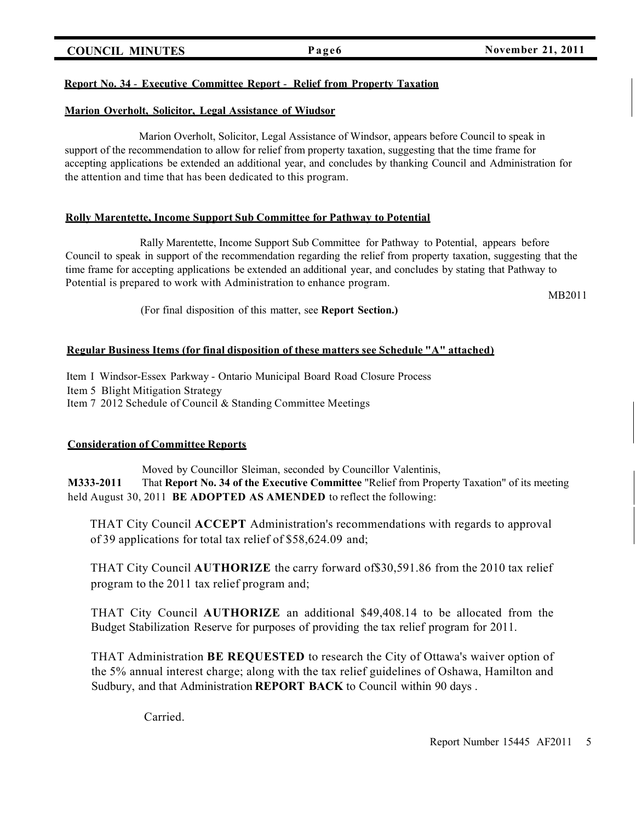### **COUNCIL MINUTES Page6 November 21, 2011**

# **Report No. 34** - **Executive Committee Report** - **Relief from Property Taxation**

### **Marion Overholt, Solicitor, Legal Assistance of Wiudsor**

Marion Overholt, Solicitor, Legal Assistance of Windsor, appears before Council to speak in support of the recommendation to allow for relief from property taxation, suggesting that the time frame for accepting applications be extended an additional year, and concludes by thanking Council and Administration for the attention and time that has been dedicated to this program.

# **Rolly Marentette, Income Support Sub Committee for Pathway to Potential**

Rally Marentette, Income Support Sub Committee for Pathway to Potential, appears before Council to speak in support of the recommendation regarding the relief from property taxation, suggesting that the time frame for accepting applications be extended an additional year, and concludes by stating that Pathway to Potential is prepared to work with Administration to enhance program.

MB2011

(For final disposition of this matter, see **Report Section.)**

# **Regular Business Items (for final disposition of these matters see Schedule "A" attached)**

Item I Windsor-Essex Parkway - Ontario Municipal Board Road Closure Process Item 5 Blight Mitigation Strategy Item 7 2012 Schedule of Council & Standing Committee Meetings

# **Consideration of Committee Reports**

Moved by Councillor Sleiman, seconded by Councillor Valentinis, **M333-2011** That **Report No. 34 of the Executive Committee** "Relief from Property Taxation" of its meeting held August 30, 2011 **BE ADOPTED AS AMENDED** to reflect the following:

THAT City Council **ACCEPT** Administration's recommendations with regards to approval of 39 applications for total tax relief of \$58,624.09 and;

THAT City Council **AUTHORIZE** the carry forward of\$30,591.86 from the 2010 tax relief program to the 2011 tax relief program and;

THAT City Council **AUTHORIZE** an additional \$49,408.14 to be allocated from the Budget Stabilization Reserve for purposes of providing the tax relief program for 2011.

THAT Administration **BE REQUESTED** to research the City of Ottawa's waiver option of the 5% annual interest charge; along with the tax relief guidelines of Oshawa, Hamilton and Sudbury, and that Administration **REPORT BACK** to Council within 90 days .

Carried.

Report Number 15445 AF2011 5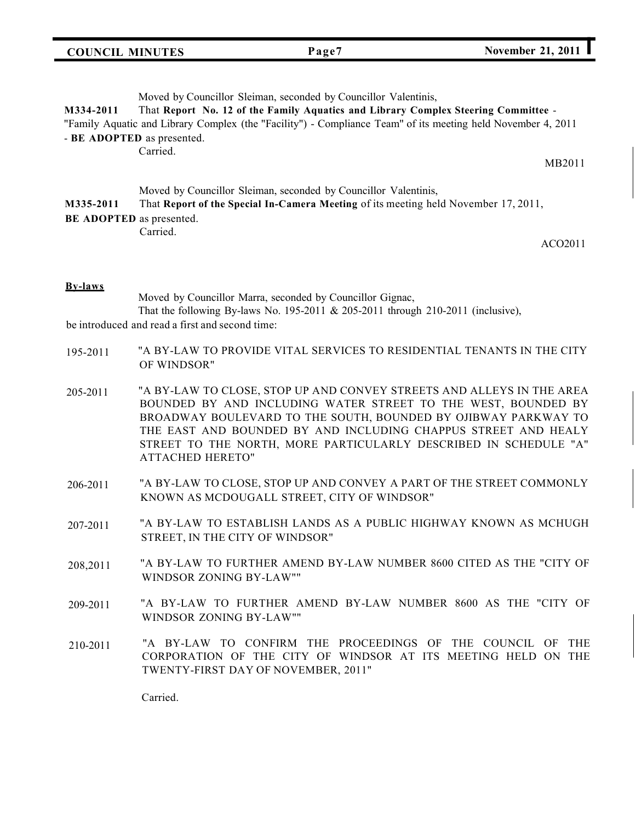# **COUNCIL MINUTES Page7 November 21, <sup>2011</sup> l**

### Moved by Councillor Sleiman, seconded by Councillor Valentinis, **M334-2011** That **Report No. 12 of the Family Aquatics and Library Complex Steering Committee** - "Family Aquatic and Library Complex (the "Facility") - Compliance Team" of its meeting held November 4, 2011 - **BE ADOPTED** as presented. Carried. MB2011

Moved by Councillor Sleiman, seconded by Councillor Valentinis, **M335-2011** That **Report of the Special In-Camera Meeting** of its meeting held November 17, 2011, **BE ADOPTED** as presented. Carried.

ACO2011

#### **By-laws**

Moved by Councillor Marra, seconded by Councillor Gignac, That the following By-laws No. 195-2011 & 205-2011 through 210-2011 (inclusive), be introduced and read a first and second time:

- 195-2011 "A BY-LAW TO PROVIDE VITAL SERVICES TO RESIDENTIAL TENANTS IN THE CITY OF WINDSOR"
- 205-2011 "A BY-LAW TO CLOSE, STOP UP AND CONVEY STREETS AND ALLEYS IN THE AREA BOUNDED BY AND INCLUDING WATER STREET TO THE WEST, BOUNDED BY BROADWAY BOULEVARD TO THE SOUTH, BOUNDED BY OJIBWAY PARKWAY TO THE EAST AND BOUNDED BY AND INCLUDING CHAPPUS STREET AND HEALY STREET TO THE NORTH, MORE PARTICULARLY DESCRIBED IN SCHEDULE "A" ATTACHED HERETO"
- 206-2011 "A BY-LAW TO CLOSE, STOP UP AND CONVEY A PART OF THE STREET COMMONLY KNOWN AS MCDOUGALL STREET, CITY OF WINDSOR"
- 207-2011 "A BY-LAW TO ESTABLISH LANDS AS A PUBLIC HIGHWAY KNOWN AS MCHUGH STREET, IN THE CITY OF WINDSOR"
- 208,2011 "A BY-LAW TO FURTHER AMEND BY-LAW NUMBER 8600 CITED AS THE "CITY OF WINDSOR ZONING BY-LAW""
- 209-2011 "A BY-LAW TO FURTHER AMEND BY-LAW NUMBER 8600 AS THE "CITY OF WINDSOR ZONING BY-LAW""
- 210-2011 "A BY-LAW TO CONFIRM THE PROCEEDINGS OF THE COUNCIL OF THE CORPORATION OF THE CITY OF WINDSOR AT ITS MEETING HELD ON THE TWENTY-FIRST DAY OF NOVEMBER, 2011"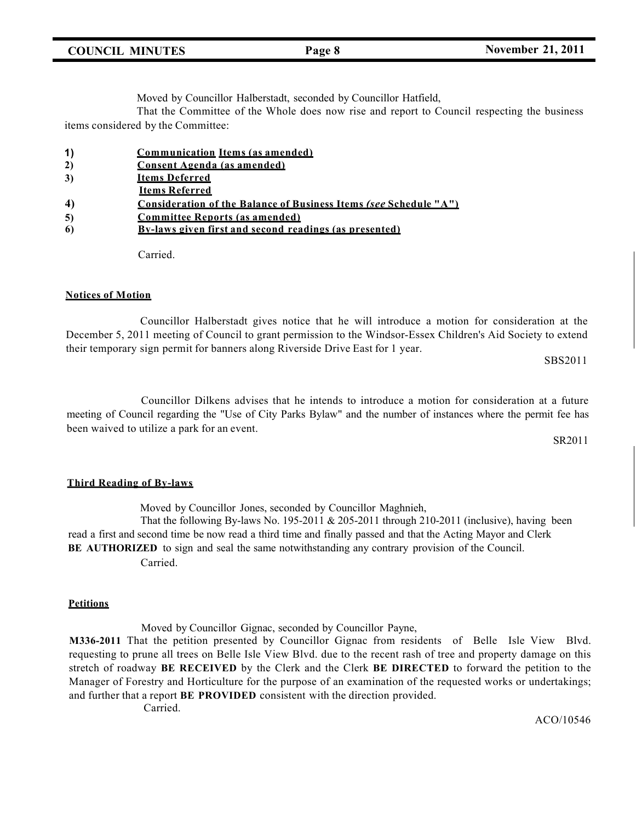|  | <b>COUNCIL MINUTES</b> |  |
|--|------------------------|--|
|--|------------------------|--|

Moved by Councillor Halberstadt, seconded by Councillor Hatfield,

That the Committee of the Whole does now rise and report to Council respecting the business items considered by the Committee:

| $\vert$ 1) | Communication Items (as amended) |
|------------|----------------------------------|
|            |                                  |

| 3) | <b>Items Deferred</b> |
|----|-----------------------|
|    |                       |

**Items Referred**

**4) Consideration of the Balance of Business Items** *(see* **Schedule "A")**

- **5) Committee Reports (as amended)**
- **6) By-laws given first and second readings (as presented)**

Carried.

#### **Notices of Motion**

Councillor Halberstadt gives notice that he will introduce a motion for consideration at the December 5, 2011 meeting of Council to grant permission to the Windsor-Essex Children's Aid Society to extend their temporary sign permit for banners along Riverside Drive East for 1 year.

SBS2011

Councillor Dilkens advises that he intends to introduce a motion for consideration at a future meeting of Council regarding the "Use of City Parks Bylaw" and the number of instances where the permit fee has been waived to utilize a park for an event.

SR201l

#### **Third Reading of By-laws**

Moved by Councillor Jones, seconded by Councillor Maghnieh,

That the following By-laws No. 195-2011 & 205-2011 through 210-2011 (inclusive), having been read a first and second time be now read a third time and finally passed and that the Acting Mayor and Clerk **BE AUTHORIZED** to sign and seal the same notwithstanding any contrary provision of the Council. Carried.

#### **Petitions**

Moved by Councillor Gignac, seconded by Councillor Payne, **M336-2011** That the petition presented by Councillor Gignac from residents of Belle Isle View Blvd. requesting to prune all trees on Belle Isle View Blvd. due to the recent rash of tree and property damage on this stretch of roadway **BE RECEIVED** by the Clerk and the Clerk **BE DIRECTED** to forward the petition to the Manager of Forestry and Horticulture for the purpose of an examination of the requested works or undertakings; and further that a report **BE PROVIDED** consistent with the direction provided.

Carried.

ACO/10546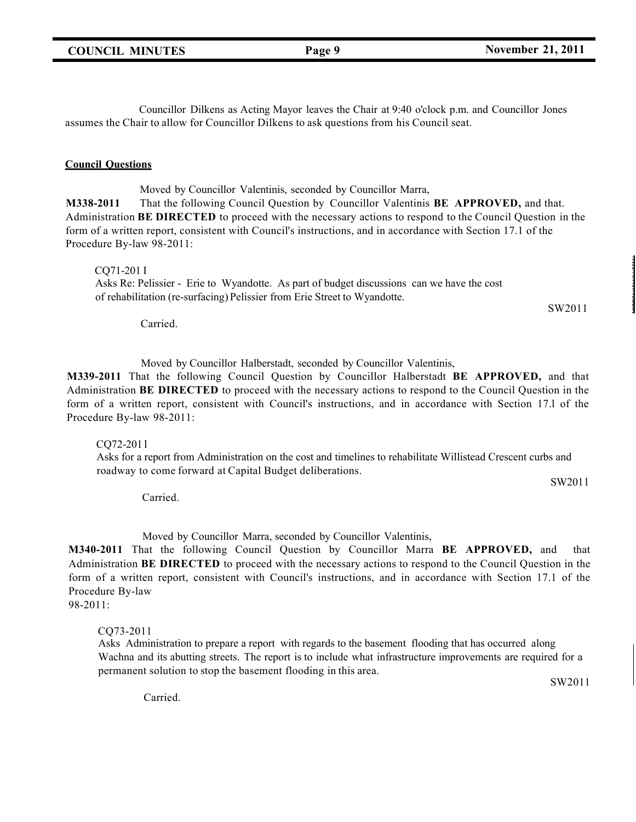Councillor Dilkens as Acting Mayor leaves the Chair at 9:40 o'clock p.m. and Councillor Jones assumes the Chair to allow for Councillor Dilkens to ask questions from his Council seat.

#### **Council Questions**

Moved by Councillor Valentinis, seconded by Councillor Marra, **M338-2011** That the following Council Question by Councillor Valentinis **BE APPROVED,** and that. Administration **BE DIRECTED** to proceed with the necessary actions to respond to the Council Question in the form of a written report, consistent with Council's instructions, and in accordance with Section 17.1 of the Procedure By-law 98-2011:

CQ71-201 I

Asks Re: Pelissier - Erie to Wyandotte. As part of budget discussions can we have the cost of rehabilitation (re-surfacing) Pelissier from Erie Street to Wyandotte.

SW2011

Carried.

Moved by Councillor Halberstadt, seconded by Councillor Valentinis,

**M339-2011** That the following Council Question by Councillor Halberstadt **BE APPROVED,** and that Administration **BE DIRECTED** to proceed with the necessary actions to respond to the Council Question in the form of a written report, consistent with Council's instructions, and in accordance with Section 17.l of the Procedure By-law 98-2011:

CQ72-201 l

Asks for a report from Administration on the cost and timelines to rehabilitate Willistead Crescent curbs and roadway to come forward at Capital Budget deliberations.

SW201 l

Carried.

Moved by Councillor Marra, seconded by Councillor Valentinis,

**M340-2011** That the following Council Question by Councillor Marra **BE APPROVED,** and that Administration **BE DIRECTED** to proceed with the necessary actions to respond to the Council Question in the form of a written report, consistent with Council's instructions, and in accordance with Section 17.1 of the Procedure By-law

98-2011:

CQ73-2011

Asks Administration to prepare a report with regards to the basement flooding that has occurred along Wachna and its abutting streets. The report is to include what infrastructure improvements are required for a permanent solution to stop the basement flooding in this area.

SW2011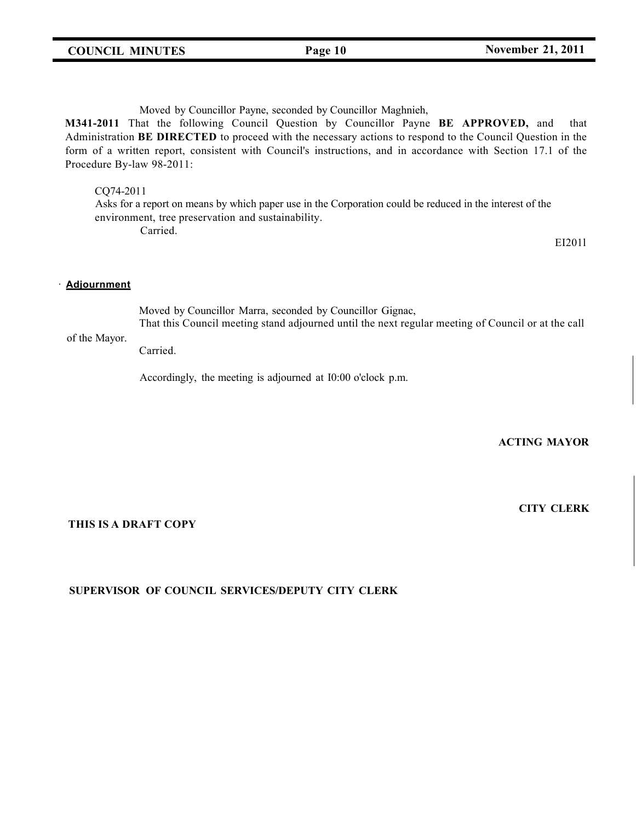**M341-2011** That the following Council Question by Councillor Payne **BE APPROVED,** and that Administration **BE DIRECTED** to proceed with the necessary actions to respond to the Council Question in the form of a written report, consistent with Council's instructions, and in accordance with Section 17.1 of the Procedure By-law 98-2011:

#### CQ74-2011

Asks for a report on means by which paper use in the Corporation could be reduced in the interest of the environment, tree preservation and sustainability. Carried.

EI201l

#### · **Adjournment**

Moved by Councillor Marra, seconded by Councillor Gignac, That this Council meeting stand adjourned until the next regular meeting of Council or at the call

#### of the Mayor.

Carried.

Accordingly, the meeting is adjourned at I0:00 o'clock p.m.

### **ACTING MAYOR**

**CITY CLERK**

#### **THIS IS A DRAFT COPY**

#### **SUPERVISOR OF COUNCIL SERVICES/DEPUTY CITY CLERK**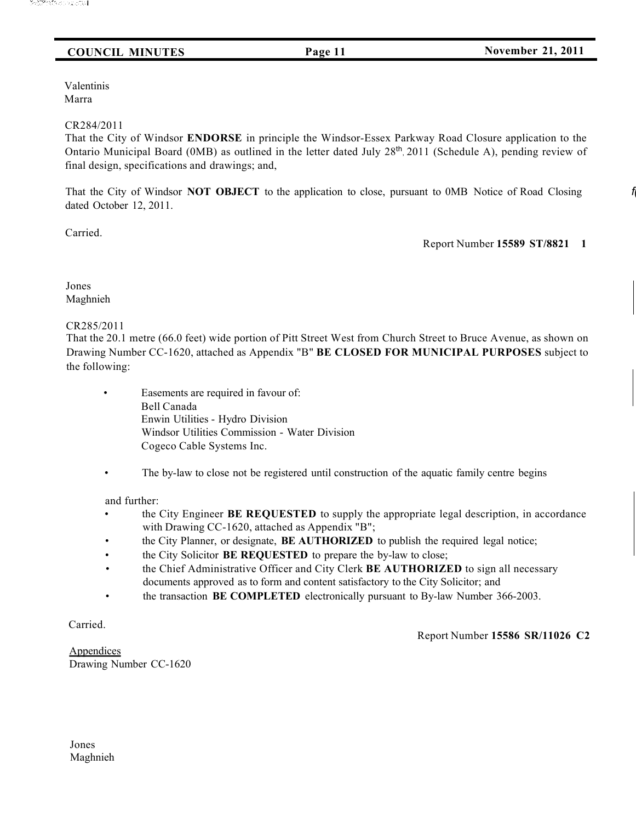# **COUNCIL MINUTES Page 11 November 21, 2011**

Valentinis Marra

#### CR284/2011

That the City of Windsor **ENDORSE** in principle the Windsor-Essex Parkway Road Closure application to the Ontario Municipal Board (OMB) as outlined in the letter dated July 28<sup>th</sup>, 2011 (Schedule A), pending review of final design, specifications and drawings; and,

That the City of Windsor **NOT OBJECT** to the application to close, pursuant to 0MB Notice of Road Closing *f(* dated October 12, 2011.

Carried.

Report Number **15589 ST/8821 1**

Jones Maghnieh

#### CR285/2011

That the 20.1 metre (66.0 feet) wide portion of Pitt Street West from Church Street to Bruce Avenue, as shown on Drawing Number CC-1620, attached as Appendix "B" **BE CLOSED FOR MUNICIPAL PURPOSES** subject to the following:

- Easements are required in favour of: Bell Canada Enwin Utilities - Hydro Division Windsor Utilities Commission - Water Division Cogeco Cable Systems Inc.
- The by-law to close not be registered until construction of the aquatic family centre begins

#### and further:

- the City Engineer **BE REQUESTED** to supply the appropriate legal description, in accordance with Drawing CC-1620, attached as Appendix "B";
- the City Planner, or designate, **BE AUTHORIZED** to publish the required legal notice;
- the City Solicitor **BE REQUESTED** to prepare the by-law to close;
- the Chief Administrative Officer and City Clerk **BE AUTHORIZED** to sign all necessary documents approved as to form and content satisfactory to the City Solicitor; and
- the transaction **BE COMPLETED** electronically pursuant to By-law Number 366-2003.

Carried.

Report Number **15586 SR/11026 C2**

**Appendices** Drawing Number CC-1620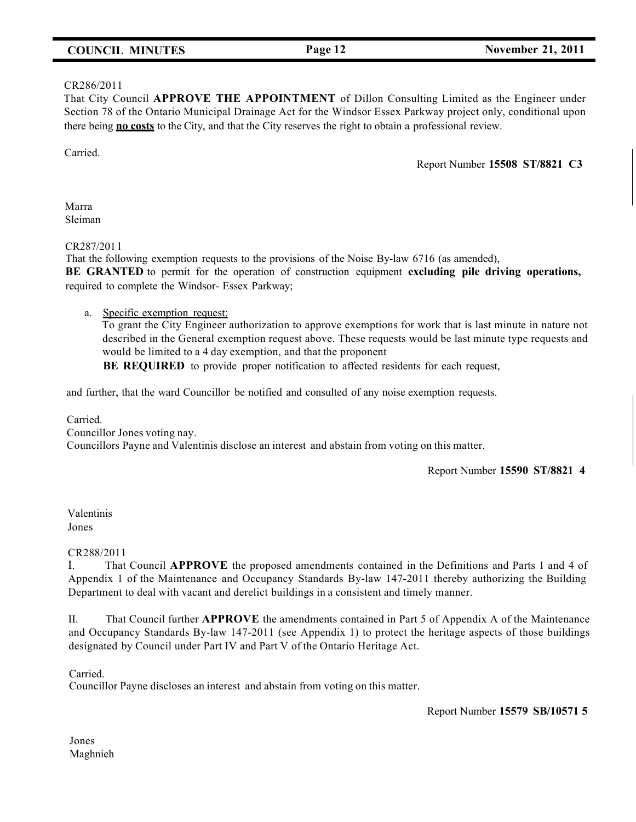# **COUNCIL MINUTES Page 12 November 21, 2011**

#### CR286/2011

That City Council **APPROVE THE APPOINTMENT** of Dillon Consulting Limited as the Engineer under Section 78 of the Ontario Municipal Drainage Act for the Windsor Essex Parkway project only, conditional upon there being **no costs** to the City, and that the City reserves the right to obtain a professional review.

Carried.

Report Number **15508 ST/8821 C3**

Marra Sleiman

CR287/201 l

That the following exemption requests to the provisions of the Noise By-law 6716 (as amended), **BE GRANTED** to permit for the operation of construction equipment **excluding pile driving operations,** required to complete the Windsor- Essex Parkway;

a. Specific exemption request:

To grant the City Engineer authorization to approve exemptions for work that is last minute in nature not described in the General exemption request above. These requests would be last minute type requests and would be limited to a 4 day exemption, and that the proponent

**BE REQUIRED** to provide proper notification to affected residents for each request,

and further, that the ward Councillor be notified and consulted of any noise exemption requests.

Carried. Councillor Jones voting nay. Councillors Payne and Valentinis disclose an interest and abstain from voting on this matter.

Report Number **15590 ST/8821 4**

Valentinis Jones

#### CR288/2011

I. That Council **APPROVE** the proposed amendments contained in the Definitions and Parts 1 and 4 of Appendix 1 of the Maintenance and Occupancy Standards By-law 147-2011 thereby authorizing the Building Department to deal with vacant and derelict buildings in a consistent and timely manner.

II. That Council further **APPROVE** the amendments contained in Part 5 of Appendix A of the Maintenance and Occupancy Standards By-law 147-2011 (see Appendix 1) to protect the heritage aspects of those buildings designated by Council under Part IV and Part V of the Ontario Heritage Act.

Carried.

Councillor Payne discloses an interest and abstain from voting on this matter.

Report Number **15579 SB/10571 5**

Jones Maghnieh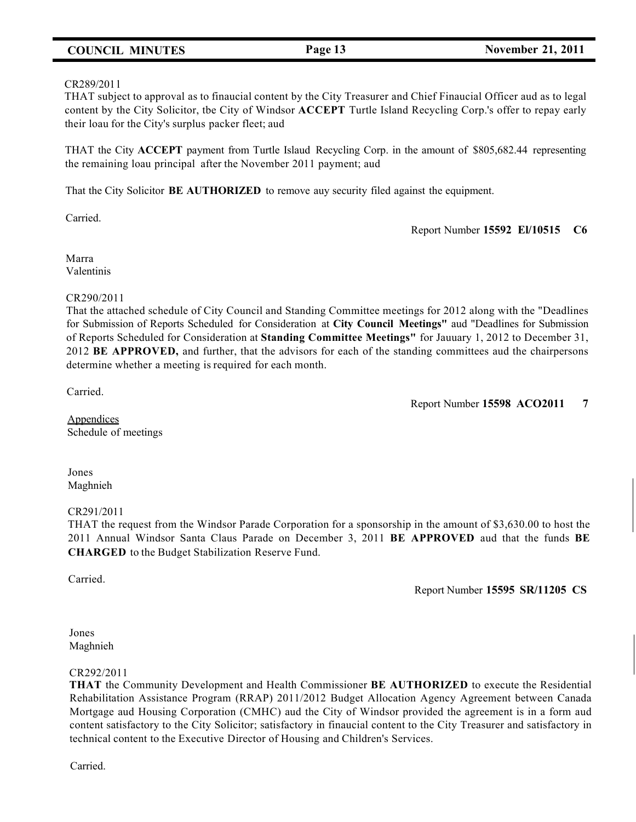# **COUNCIL MINUTES Page 13 November 21, 2011**

#### CR289/201 l

THAT subject to approval as to finaucial content by the City Treasurer and Chief Finaucial Officer aud as to legal content by the City Solicitor, tbe City of Windsor **ACCEPT** Turtle Island Recycling Corp.'s offer to repay early their loau for the City's surplus packer fleet; aud

THAT the City **ACCEPT** payment from Turtle Islaud Recycling Corp. in the amount of \$805,682.44 representing the remaining loau principal after the November 2011 payment; aud

That the City Solicitor **BE AUTHORIZED** to remove auy security filed against the equipment.

Carried.

Report Number **15592 El/10515 C6**

Marra Valentinis

#### CR290/2011

That the attached schedule of City Council and Standing Committee meetings for 2012 along with the "Deadlines for Submission of Reports Scheduled for Consideration at **City Council Meetings"** aud "Deadlines for Submission of Reports Scheduled for Consideration at **Standing Committee Meetings"** for Jauuary 1, 2012 to December 31, 2012 **BE APPROVED,** and further, that the advisors for each of the standing committees aud the chairpersons determine whether a meeting is required for each month.

Carried.

Report Number **15598 ACO2011 7**

**Appendices** Schedule of meetings

Jones Maghnieh

#### CR291/2011

THAT the request from the Windsor Parade Corporation for a sponsorship in the amount of \$3,630.00 to host the 2011 Annual Windsor Santa Claus Parade on December 3, 2011 **BE APPROVED** aud that the funds **BE CHARGED** to the Budget Stabilization Reserve Fund.

Carried.

Report Number **15595 SR/11205 CS**

#### Jones Maghnieh

#### CR292/2011

**THAT** the Community Development and Health Commissioner **BE AUTHORIZED** to execute the Residential Rehabilitation Assistance Program (RRAP) 2011/2012 Budget Allocation Agency Agreement between Canada Mortgage aud Housing Corporation (CMHC) aud the City of Windsor provided the agreement is in a form aud content satisfactory to the City Solicitor; satisfactory in finaucial content to the City Treasurer and satisfactory in technical content to the Executive Director of Housing and Children's Services.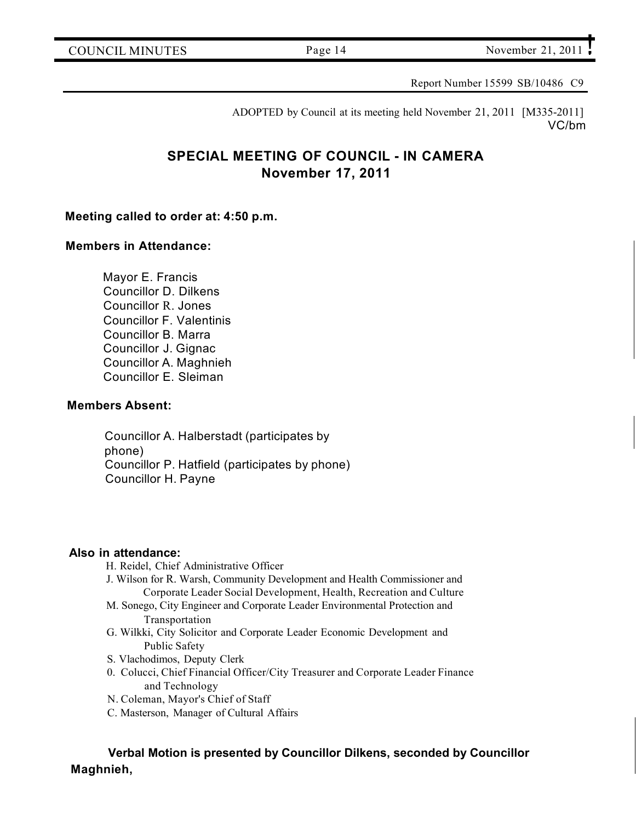Report Number 15599 SB/10486 C9

ADOPTED by Council at its meeting held November 21, 2011 [M335-2011] VC/bm

# **SPECIAL MEETING OF COUNCIL - IN CAMERA November 17, 2011**

# **Meeting called to order at: 4:50 p.m.**

# **Members in Attendance:**

Mayor E. Francis Councillor D. Dilkens Councillor R. Jones Councillor F. Valentinis Councillor B. Marra Councillor J. Gignac Councillor A. Maghnieh Councillor E. Sleiman

# **Members Absent:**

Councillor A. Halberstadt (participates by phone) Councillor P. Hatfield (participates by phone) Councillor H. Payne

# **Also in attendance:**

H. Reidel, Chief Administrative Officer

- J. Wilson for R. Warsh, Community Development and Health Commissioner and Corporate Leader Social Development, Health, Recreation and Culture
- M. Sonego, City Engineer and Corporate Leader Environmental Protection and Transportation
- G. Wilkki, City Solicitor and Corporate Leader Economic Development and Public Safety
- S. Vlachodimos, Deputy Clerk
- 0. Colucci, Chief Financial Officer/City Treasurer and Corporate Leader Finance and Technology
- N. Coleman, Mayor's Chief of Staff
- C. Masterson, Manager of Cultural Affairs

**Verbal Motion is presented by Councillor Dilkens, seconded by Councillor Maghnieh,**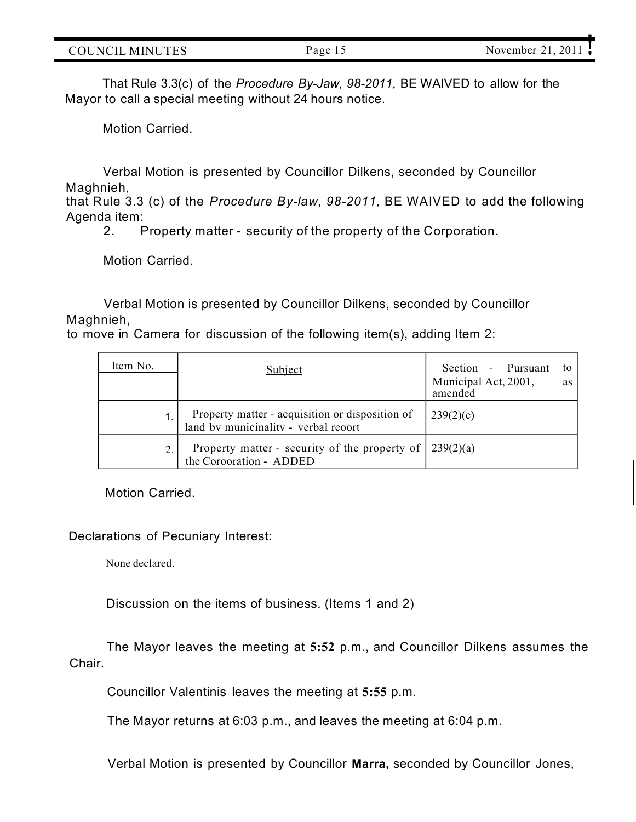| `H`\<br>''<br>MINI<br>INI (<br>$\mathbf{H}$ | $\alpha$ $\alpha$<br>. . | 20.<br>ovember<br>А. |
|---------------------------------------------|--------------------------|----------------------|

That Rule 3.3(c) of the *Procedure By-Jaw, 98-2011,* BE WAIVED to allow for the Mayor to call a special meeting without 24 hours notice.

Motion Carried.

Verbal Motion is presented by Councillor Dilkens, seconded by Councillor Maghnieh,

that Rule 3.3 (c) of the *Procedure By-law, 98-2011,* BE WAIVED to add the following Agenda item:

2. Property matter - security of the property of the Corporation.

Motion Carried.

Verbal Motion is presented by Councillor Dilkens, seconded by Councillor Maghnieh,

to move in Camera for discussion of the following item(s), adding Item 2:

| Item No. | <b>Subject</b>                                                                            | Section - Pursuant<br>to<br>Municipal Act, 2001,<br>as<br>amended |
|----------|-------------------------------------------------------------------------------------------|-------------------------------------------------------------------|
|          | Property matter - acquisition or disposition of<br>land by municinality - verbal reoort   | 239(2)(c)                                                         |
|          | Property matter - security of the property of $\int 239(2)(a)$<br>the Corooration - ADDED |                                                                   |

Motion Carried.

#### Declarations of Pecuniary Interest:

None declared.

Discussion on the items of business. (Items 1 and 2)

**Chair** The Mayor leaves the meeting at **5:52** p.m., and Councillor Dilkens assumes the

Councillor Valentinis leaves the meeting at **5:55** p.m.

The Mayor returns at 6:03 p.m., and leaves the meeting at 6:04 p.m.

Verbal Motion is presented by Councillor **Marra,** seconded by Councillor Jones,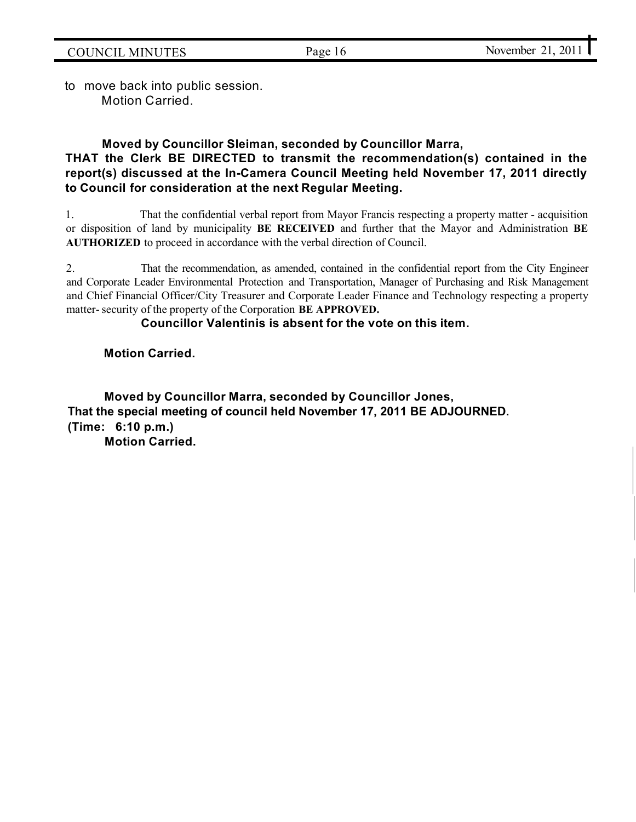to move back into public session. Motion Carried.

# **Moved by Councillor Sleiman, seconded by Councillor Marra, THAT the Clerk BE DIRECTED to transmit the recommendation(s) contained in the report(s) discussed at the In-Camera Council Meeting held November 17, 2011 directly to Council for consideration at the next Regular Meeting.**

1. That the confidential verbal report from Mayor Francis respecting a property matter - acquisition or disposition of land by municipality **BE RECEIVED** and further that the Mayor and Administration **BE AUTHORIZED** to proceed in accordance with the verbal direction of Council.

2. That the recommendation, as amended, contained in the confidential report from the City Engineer and Corporate Leader Environmental Protection and Transportation, Manager of Purchasing and Risk Management and Chief Financial Officer/City Treasurer and Corporate Leader Finance and Technology respecting a property matter-security of the property of the Corporation **BE APPROVED.**

# **Councillor Valentinis is absent for the vote on this item.**

**Motion Carried.**

**Moved by Councillor Marra, seconded by Councillor Jones, That the special meeting of council held November 17, 2011 BE ADJOURNED. (Time: 6:10 p.m.) Motion Carried.**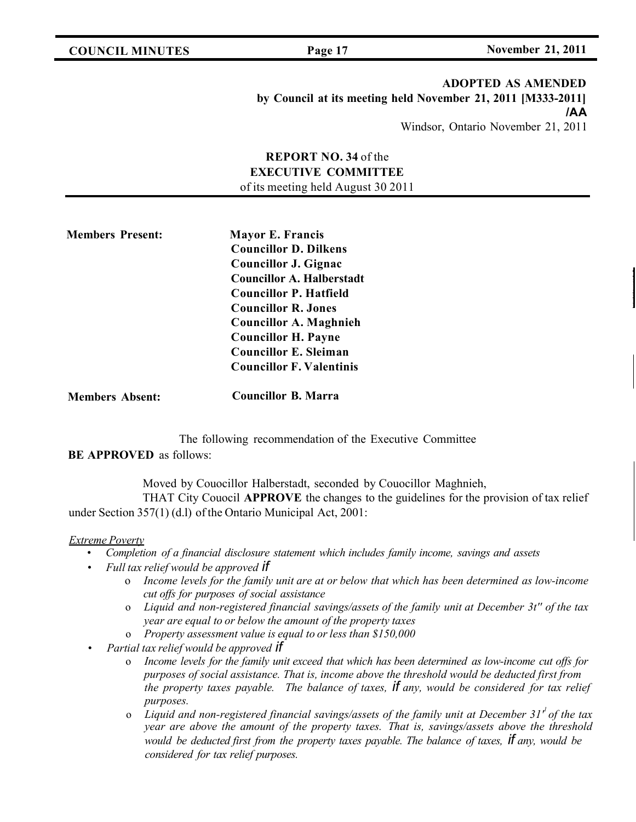**COUNCIL MINUTES Page 17 November 21, 2011**

# **ADOPTED AS AMENDED by Council at its meeting held November 21, 2011 [M333-2011] /AA** Windsor, Ontario November 21, 2011

# **REPORT NO. 34** of the **EXECUTIVE COMMITTEE** of its meeting held August 30 2011

**Members Present: Mayor E. Francis Councillor D. Dilkens Councillor J. Gignac Councillor A. Halberstadt Councillor P. Hatfield Councillor R. Jones Councillor A. Maghnieh Councillor H. Payne Councillor E. Sleiman Councillor F. Valentinis**

**Members Absent: Councillor B. Marra**

The following recommendation of the Executive Committee

**BE APPROVED** as follows:

Moved by Couocillor Halberstadt, seconded by Couocillor Maghnieh,

THAT City Couocil **APPROVE** the changes to the guidelines for the provision of tax relief under Section 357(1) (d.l) of the Ontario Municipal Act, 2001:

#### *Extreme Poverty*

- *Completion of a financial disclosure statement which includes family income, savings and assets*
- *Full tax relief would be approved if*
	- o *Income levels for the family unit are at or below that which has been determined as low-income cut offs for purposes of social assistance*
	- o *Liquid and non-registered financial savings/assets of the family unit at December 3t'' of the tax year are equal to or below the amount of the property taxes*
	- o *Property assessment value is equal to or less than \$150,000*
- *Partial tax relief would be approved if*
	- o *Income levels for the family unit exceed that which has been determined as low-income cut offs for purposes of social assistance. That is, income above the threshold would be deducted first from the property taxes payable. The balance of taxes, if any, would be considered for tax relief purposes.*
	- Liquid and non-registered financial savings/assets of the family unit at December 31<sup>*'*</sup> of the tax *year are above the amount of the property taxes. That is, savings/assets above the threshold would be deducted first from the property taxes payable. The balance of taxes, if any, would be considered for tax relief purposes.*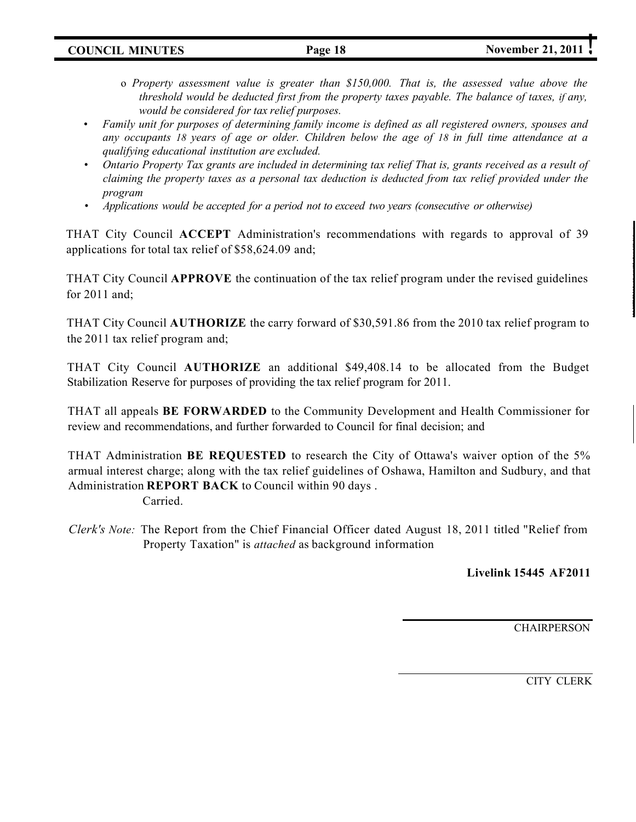**COUNCIL MINUTES Page 18 November 21, 2011** 

- o *Property assessment value is greater than \$150,000. That is, the assessed value above the threshold would be deducted first from the property taxes payable. The balance of taxes, if any, would be considered for tax relief purposes.*
- *Family unit for purposes of determining family income is defined as all registered owners, spouses and any occupants 18 years of age or older. Children below the age of 18 in full time attendance at a qualifying educational institution are excluded.*
- *Ontario Property Tax grants are included in determining tax relief That is, grants received as a result of claiming the property taxes as a personal tax deduction is deducted from tax relief provided under the program*
- *Applications would be accepted for a period not to exceed two years (consecutive or otherwise)*

THAT City Council **ACCEPT** Administration's recommendations with regards to approval of 39 applications for total tax relief of \$58,624.09 and;

THAT City Council **APPROVE** the continuation of the tax relief program under the revised guidelines for 2011 and;

THAT City Council **AUTHORIZE** the carry forward of \$30,591.86 from the 2010 tax relief program to the 2011 tax relief program and;

THAT City Council **AUTHORIZE** an additional \$49,408.14 to be allocated from the Budget Stabilization Reserve for purposes of providing the tax relief program for 2011.

THAT all appeals **BE FORWARDED** to the Community Development and Health Commissioner for review and recommendations, and further forwarded to Council for final decision; and

THAT Administration **BE REQUESTED** to research the City of Ottawa's waiver option of the 5% armual interest charge; along with the tax relief guidelines of Oshawa, Hamilton and Sudbury, and that Administration **REPORT BACK** to Council within 90 days . Carried.

*Clerk's Note:* The Report from the Chief Financial Officer dated August 18, 2011 titled "Relief from Property Taxation" is *attached* as background information

**Livelink 15445 AF2011**

**CHAIRPERSON** 

CITY CLERK